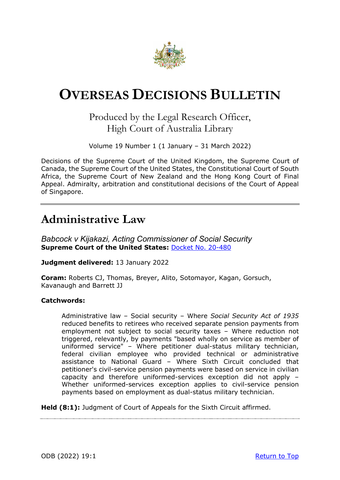

# <span id="page-0-0"></span>**OVERSEAS DECISIONS BULLETIN**

### Produced by the Legal Research Officer, High Court of Australia Library

Volume 19 Number 1 (1 January – 31 March 2022)

Decisions of the Supreme Court of the United Kingdom, the Supreme Court of Canada, the Supreme Court of the United States, the Constitutional Court of South Africa, the Supreme Court of New Zealand and the Hong Kong Court of Final Appeal. Admiralty, arbitration and constitutional decisions of the Court of Appeal of Singapore.

## **Administrative Law**

*Babcock v Kijakazi, Acting Commissioner of Social Security*  **Supreme Court of the United States:** [Docket No. 20-480](https://www.supremecourt.gov/opinions/21pdf/20-480_b97c.pdf) 

**Judgment delivered:** 13 January 2022

**Coram:** Roberts CJ, Thomas, Breyer, Alito, Sotomayor, Kagan, Gorsuch, Kavanaugh and Barrett JJ

#### **Catchwords:**

Administrative law – Social security – Where *Social Security Act of 1935* reduced benefits to retirees who received separate pension payments from employment not subject to social security taxes – Where reduction not triggered, relevantly, by payments "based wholly on service as member of uniformed service" – Where petitioner dual-status military technician, federal civilian employee who provided technical or administrative assistance to National Guard – Where Sixth Circuit concluded that petitioner's civil-service pension payments were based on service in civilian capacity and therefore uniformed-services exception did not apply – Whether uniformed-services exception applies to civil-service pension payments based on employment as dual-status military technician.

**Held (8:1):** Judgment of Court of Appeals for the Sixth Circuit affirmed.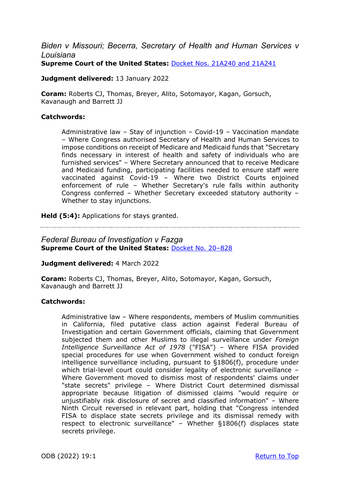### *Biden v Missouri; Becerra, Secretary of Health and Human Services v Louisiana* **Supreme Court of the United States:** [Docket Nos. 21A240 and 21A241](https://www.supremecourt.gov/opinions/21pdf/21a240_d18e.pdf)

**Judgment delivered:** 13 January 2022

**Coram:** Roberts CJ, Thomas, Breyer, Alito, Sotomayor, Kagan, Gorsuch, Kavanaugh and Barrett JJ

#### **Catchwords:**

Administrative law – Stay of injunction – Covid-19 – Vaccination mandate – Where Congress authorised Secretary of Health and Human Services to impose conditions on receipt of Medicare and Medicaid funds that "Secretary finds necessary in interest of health and safety of individuals who are furnished services" – Where Secretary announced that to receive Medicare and Medicaid funding, participating facilities needed to ensure staff were vaccinated against Covid-19 – Where two District Courts enjoined enforcement of rule – Whether Secretary's rule falls within authority Congress conferred – Whether Secretary exceeded statutory authority – Whether to stay injunctions.

**Held (5:4):** Applications for stays granted.

### *Federal Bureau of Investigation v Fazga*  **Supreme Court of the United States:** [Docket No. 20–828](https://www.supremecourt.gov/opinions/21pdf/20-828_5ie6.pdf)

#### **Judgment delivered:** 4 March 2022

**Coram:** Roberts CJ, Thomas, Breyer, Alito, Sotomayor, Kagan, Gorsuch, Kavanaugh and Barrett JJ

#### **Catchwords:**

Administrative law – Where respondents, members of Muslim communities in California, filed putative class action against Federal Bureau of Investigation and certain Government officials, claiming that Government subjected them and other Muslims to illegal surveillance under *Foreign Intelligence Surveillance Act of 1978* ("FISA") – Where FISA provided special procedures for use when Government wished to conduct foreign intelligence surveillance including, pursuant to §1806(f), procedure under which trial-level court could consider legality of electronic surveillance -Where Government moved to dismiss most of respondents' claims under "state secrets" privilege – Where District Court determined dismissal appropriate because litigation of dismissed claims "would require or unjustifiably risk disclosure of secret and classified information" – Where Ninth Circuit reversed in relevant part, holding that "Congress intended FISA to displace state secrets privilege and its dismissal remedy with respect to electronic surveillance" – Whether §1806(f) displaces state secrets privilege.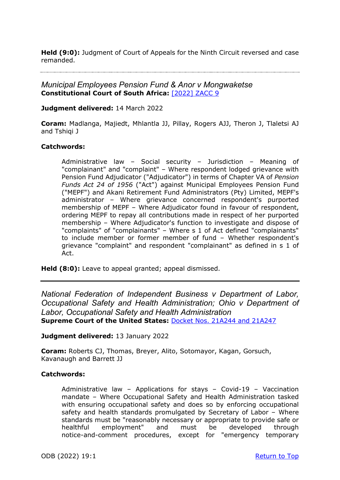**Held (9:0):** Judgment of Court of Appeals for the Ninth Circuit reversed and case remanded.

#### *Municipal Employees Pension Fund & Anor v Mongwaketse* **Constitutional Court of South Africa:** [\[2022\] ZACC 9](https://www.saflii.org/za/cases/ZACC/2022/9.html)

**Judgment delivered:** 14 March 2022

**Coram:** Madlanga, Majiedt, Mhlantla JJ, Pillay, Rogers AJJ, Theron J, Tlaletsi AJ and Tshiqi J

#### **Catchwords:**

Administrative law – Social security – Jurisdiction – Meaning of "complainant" and "complaint" – Where respondent lodged grievance with Pension Fund Adjudicator ("Adjudicator") in terms of Chapter VA of *Pension Funds Act 24 of 1956* ("Act") against Municipal Employees Pension Fund ("MEPF") and Akani Retirement Fund Administrators (Pty) Limited, MEPF's administrator – Where grievance concerned respondent's purported membership of MEPF – Where Adjudicator found in favour of respondent, ordering MEPF to repay all contributions made in respect of her purported membership – Where Adjudicator's function to investigate and dispose of "complaints" of "complainants" – Where s 1 of Act defined "complainants" to include member or former member of fund – Whether respondent's grievance "complaint" and respondent "complainant" as defined in s 1 of Act.

**Held (8:0):** Leave to appeal granted; appeal dismissed.

*National Federation of Independent Business v Department of Labor, Occupational Safety and Health Administration; Ohio v Department of Labor, Occupational Safety and Health Administration* **Supreme Court of the United States:** Docket Nos. [21A244 and 21A247](https://www.supremecourt.gov/opinions/21pdf/21a244_hgci.pdf)

#### **Judgment delivered:** 13 January 2022

**Coram:** Roberts CJ, Thomas, Breyer, Alito, Sotomayor, Kagan, Gorsuch, Kavanaugh and Barrett JJ

#### **Catchwords:**

Administrative law – Applications for stays – Covid-19 – Vaccination mandate – Where Occupational Safety and Health Administration tasked with ensuring occupational safety and does so by enforcing occupational safety and health standards promulgated by Secretary of Labor – Where standards must be "reasonably necessary or appropriate to provide safe or healthful employment" and must be developed through notice-and-comment procedures, except for "emergency temporary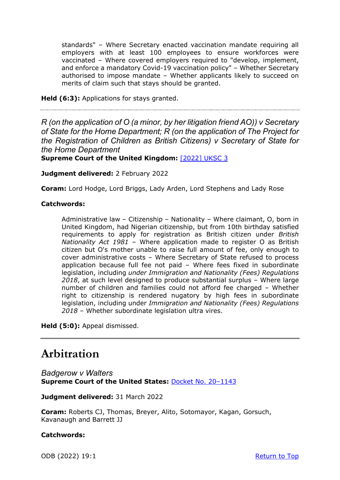standards" – Where Secretary enacted vaccination mandate requiring all employers with at least 100 employees to ensure workforces were vaccinated – Where covered employers required to "develop, implement, and enforce a mandatory Covid-19 vaccination policy" – Whether Secretary authorised to impose mandate – Whether applicants likely to succeed on merits of claim such that stays should be granted.

**Held (6:3):** Applications for stays granted.

*R (on the application of O (a minor, by her litigation friend AO)) v Secretary of State for the Home Department; R (on the application of The Project for the Registration of Children as British Citizens) v Secretary of State for the Home Department*

**Supreme Court of the United Kingdom:** [\[2022\] UKSC 3](https://www.supremecourt.uk/cases/docs/uksc-2021-0062-judgment.pdf)

**Judgment delivered:** 2 February 2022

**Coram:** Lord Hodge, Lord Briggs, Lady Arden, Lord Stephens and Lady Rose

#### **Catchwords:**

Administrative law – Citizenship – Nationality – Where claimant, O, born in United Kingdom, had Nigerian citizenship, but from 10th birthday satisfied requirements to apply for registration as British citizen under *British Nationality Act 1981* – Where application made to register O as British citizen but O's mother unable to raise full amount of fee, only enough to cover administrative costs – Where Secretary of State refused to process application because full fee not paid – Where fees fixed in subordinate legislation, including *under Immigration and Nationality (Fees) Regulations 2018*, at such level designed to produce substantial surplus – Where large number of children and families could not afford fee charged – Whether right to citizenship is rendered nugatory by high fees in subordinate legislation, including under *Immigration and Nationality (Fees) Regulations 2018* – Whether subordinate legislation ultra vires.

**Held (5:0):** Appeal dismissed.

## **Arbitration**

*Badgerow v Walters* **Supreme Court of the United States:** [Docket No. 20–1143](https://www.supremecourt.gov/opinions/21pdf/20-1143_m6hn.pdf)

**Judgment delivered:** 31 March 2022

**Coram:** Roberts CJ, Thomas, Breyer, Alito, Sotomayor, Kagan, Gorsuch, Kavanaugh and Barrett JJ

#### **Catchwords:**

ODB (2022) 19:1 [Return to Top](#page-0-0)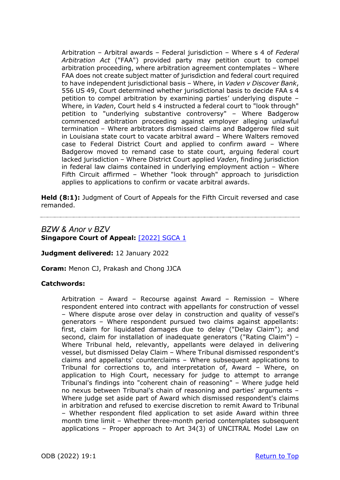Arbitration – Arbitral awards – Federal jurisdiction – Where s 4 of *Federal Arbitration Act* ("FAA") provided party may petition court to compel arbitration proceeding, where arbitration agreement contemplates – Where FAA does not create subject matter of jurisdiction and federal court required to have independent jurisdictional basis – Where, in *Vaden v Discover Bank*, 556 US 49, Court determined whether jurisdictional basis to decide FAA s 4 petition to compel arbitration by examining parties' underlying dispute – Where, in *Vaden*, Court held s 4 instructed a federal court to "look through" petition to "underlying substantive controversy" – Where Badgerow commenced arbitration proceeding against employer alleging unlawful termination – Where arbitrators dismissed claims and Badgerow filed suit in Louisiana state court to vacate arbitral award – Where Walters removed case to Federal District Court and applied to confirm award – Where Badgerow moved to remand case to state court, arguing federal court lacked jurisdiction – Where District Court applied *Vaden*, finding jurisdiction in federal law claims contained in underlying employment action – Where Fifth Circuit affirmed – Whether "look through" approach to jurisdiction applies to applications to confirm or vacate arbitral awards.

**Held (8:1):** Judgment of Court of Appeals for the Fifth Circuit reversed and case remanded.

### *BZW & Anor v BZV* **Singapore Court of Appeal:** [\[2022\] SGCA 1](http://www.commonlii.org/sg/cases/SGCA/2022/1.pdf)

**Judgment delivered:** 12 January 2022

**Coram:** Menon CJ, Prakash and Chong JJCA

#### **Catchwords:**

Arbitration – Award – Recourse against Award – Remission – Where respondent entered into contract with appellants for construction of vessel – Where dispute arose over delay in construction and quality of vessel's generators – Where respondent pursued two claims against appellants: first, claim for liquidated damages due to delay ("Delay Claim"); and second, claim for installation of inadequate generators ("Rating Claim") – Where Tribunal held, relevantly, appellants were delayed in delivering vessel, but dismissed Delay Claim – Where Tribunal dismissed respondent's claims and appellants' counterclaims – Where subsequent applications to Tribunal for corrections to, and interpretation of, Award – Where, on application to High Court, necessary for judge to attempt to arrange Tribunal's findings into "coherent chain of reasoning" – Where judge held no nexus between Tribunal's chain of reasoning and parties' arguments – Where judge set aside part of Award which dismissed respondent's claims in arbitration and refused to exercise discretion to remit Award to Tribunal – Whether respondent filed application to set aside Award within three month time limit – Whether three-month period contemplates subsequent applications – Proper approach to Art 34(3) of UNCITRAL Model Law on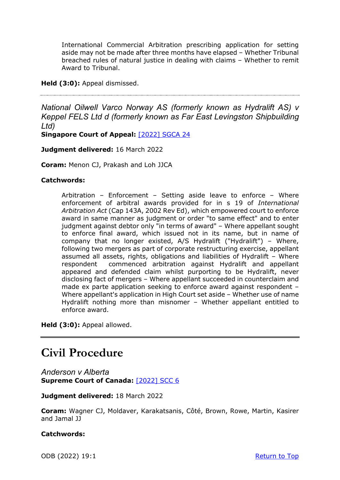International Commercial Arbitration prescribing application for setting aside may not be made after three months have elapsed – Whether Tribunal breached rules of natural justice in dealing with claims – Whether to remit Award to Tribunal.

**Held (3:0):** Appeal dismissed.

*National Oilwell Varco Norway AS (formerly known as Hydralift AS) v Keppel FELS Ltd d (formerly known as Far East Levingston Shipbuilding Ltd)*

**Singapore Court of Appeal:** [\[2022\] SGCA 2](http://www.commonlii.org/sg/cases/SGCA/2022/24.pdf)4

#### **Judgment delivered:** 16 March 2022

**Coram:** Menon CJ, Prakash and Loh JJCA

#### **Catchwords:**

Arbitration – Enforcement – Setting aside leave to enforce – Where enforcement of arbitral awards provided for in s 19 of *International Arbitration Act* (Cap 143A, 2002 Rev Ed), which empowered court to enforce award in same manner as judgment or order "to same effect" and to enter judgment against debtor only "in terms of award" – Where appellant sought to enforce final award, which issued not in its name, but in name of company that no longer existed, A/S Hydralift ("Hydralift") – Where, following two mergers as part of corporate restructuring exercise, appellant assumed all assets, rights, obligations and liabilities of Hydralift – Where respondent commenced arbitration against Hydralift and appellant appeared and defended claim whilst purporting to be Hydralift, never disclosing fact of mergers – Where appellant succeeded in counterclaim and made ex parte application seeking to enforce award against respondent – Where appellant's application in High Court set aside – Whether use of name Hydralift nothing more than misnomer – Whether appellant entitled to enforce award.

**Held (3:0):** Appeal allowed.

## **Civil Procedure**

*Anderson v Alberta* **Supreme Court of Canada:** [\[2022\] SCC 6](https://decisions.scc-csc.ca/scc-csc/scc-csc/en/item/19244/index.do)

**Judgment delivered:** 18 March 2022

**Coram:** Wagner CJ, Moldaver, Karakatsanis, Côté, Brown, Rowe, Martin, Kasirer and Jamal JJ

**Catchwords:**

ODB (2022) 19:1 [Return to Top](#page-0-0)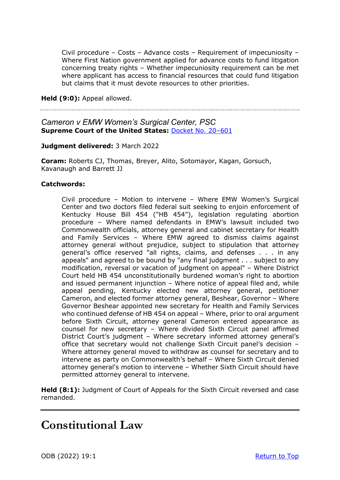Civil procedure – Costs – Advance costs – Requirement of impecuniosity – Where First Nation government applied for advance costs to fund litigation concerning treaty rights – Whether impecuniosity requirement can be met where applicant has access to financial resources that could fund litigation but claims that it must devote resources to other priorities.

**Held (9:0):** Appeal allowed.

### *Cameron v EMW Women's Surgical Center, PSC* **Supreme Court of the United States:** [Docket No. 20–601](https://www.supremecourt.gov/opinions/21pdf/20-601_new_g20h.pdf)

#### **Judgment delivered:** 3 March 2022

**Coram:** Roberts CJ, Thomas, Breyer, Alito, Sotomayor, Kagan, Gorsuch, Kavanaugh and Barrett JJ

#### **Catchwords:**

Civil procedure – Motion to intervene – Where EMW Women's Surgical Center and two doctors filed federal suit seeking to enjoin enforcement of Kentucky House Bill 454 ("HB 454"), legislation regulating abortion procedure – Where named defendants in EMW's lawsuit included two Commonwealth officials, attorney general and cabinet secretary for Health and Family Services – Where EMW agreed to dismiss claims against attorney general without prejudice, subject to stipulation that attorney general's office reserved "all rights, claims, and defenses . . . in any appeals" and agreed to be bound by "any final judgment . . . subject to any modification, reversal or vacation of judgment on appeal" – Where District Court held HB 454 unconstitutionally burdened woman's right to abortion and issued permanent injunction – Where notice of appeal filed and, while appeal pending, Kentucky elected new attorney general, petitioner Cameron, and elected former attorney general, Beshear, Governor – Where Governor Beshear appointed new secretary for Health and Family Services who continued defense of HB 454 on appeal – Where, prior to oral argument before Sixth Circuit, attorney general Cameron entered appearance as counsel for new secretary – Where divided Sixth Circuit panel affirmed District Court's judgment – Where secretary informed attorney general's office that secretary would not challenge Sixth Circuit panel's decision – Where attorney general moved to withdraw as counsel for secretary and to intervene as party on Commonwealth's behalf – Where Sixth Circuit denied attorney general's motion to intervene – Whether Sixth Circuit should have permitted attorney general to intervene.

**Held (8:1):** Judgment of Court of Appeals for the Sixth Circuit reversed and case remanded.

## **Constitutional Law**

ODB (2022) 19:1 [Return to Top](#page-0-0)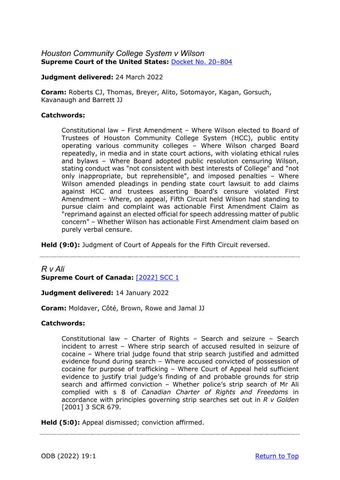### *Houston Community College System v Wilson*  **Supreme Court of the United States:** [Docket No. 20–804](https://www.supremecourt.gov/opinions/21pdf/20-804_j426.pdf)

**Judgment delivered:** 24 March 2022

**Coram:** Roberts CJ, Thomas, Breyer, Alito, Sotomayor, Kagan, Gorsuch, Kavanaugh and Barrett JJ

#### **Catchwords:**

Constitutional law – First Amendment – Where Wilson elected to Board of Trustees of Houston Community College System (HCC), public entity operating various community colleges – Where Wilson charged Board repeatedly, in media and in state court actions, with violating ethical rules and bylaws – Where Board adopted public resolution censuring Wilson, stating conduct was "not consistent with best interests of College" and "not only inappropriate, but reprehensible", and imposed penalties – Where Wilson amended pleadings in pending state court lawsuit to add claims against HCC and trustees asserting Board's censure violated First Amendment – Where, on appeal, Fifth Circuit held Wilson had standing to pursue claim and complaint was actionable First Amendment Claim as "reprimand against an elected official for speech addressing matter of public concern" – Whether Wilson has actionable First Amendment claim based on purely verbal censure.

**Held (9:0):** Judgment of Court of Appeals for the Fifth Circuit reversed.

### *R v Ali*  **Supreme Court of Canada:** [\[2022\] SCC 1](https://decisions.scc-csc.ca/scc-csc/scc-csc/en/item/19135/index.do)

**Judgment delivered:** 14 January 2022

**Coram:** Moldaver, Côté, Brown, Rowe and Jamal JJ

#### **Catchwords:**

Constitutional law – Charter of Rights – Search and seizure – Search incident to arrest – Where strip search of accused resulted in seizure of cocaine – Where trial judge found that strip search justified and admitted evidence found during search – Where accused convicted of possession of cocaine for purpose of trafficking – Where Court of Appeal held sufficient evidence to justify trial judge's finding of and probable grounds for strip search and affirmed conviction – Whether police's strip search of Mr Ali complied with s 8 of *Canadian Charter of Rights and Freedoms* in accordance with principles governing strip searches set out in *R v Golden* [2001] 3 SCR 679.

**Held (5:0):** Appeal dismissed; conviction affirmed.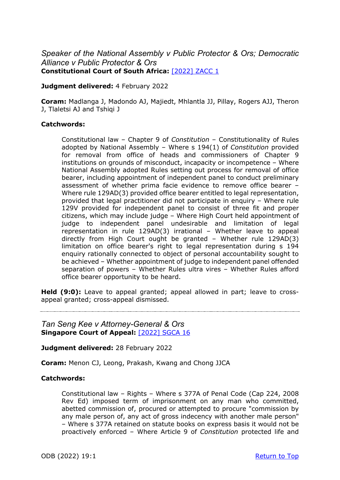### *Speaker of the National Assembly v Public Protector & Ors; Democratic Alliance v Public Protector & Ors* **Constitutional Court of South Africa:** [\[2022\] ZACC 1](https://www.saflii.org/za/cases/ZACC/2022/1.html)

#### **Judgment delivered:** 4 February 2022

**Coram:** Madlanga J, Madondo AJ, Majiedt, Mhlantla JJ, Pillay, Rogers AJJ, Theron J, Tlaletsi AJ and Tshiqi J

#### **Catchwords:**

Constitutional law – Chapter 9 of *Constitution* – Constitutionality of Rules adopted by National Assembly – Where s 194(1) of *Constitution* provided for removal from office of heads and commissioners of Chapter 9 institutions on grounds of misconduct, incapacity or incompetence – Where National Assembly adopted Rules setting out process for removal of office bearer, including appointment of independent panel to conduct preliminary assessment of whether prima facie evidence to remove office bearer – Where rule 129AD(3) provided office bearer entitled to legal representation, provided that legal practitioner did not participate in enquiry – Where rule 129V provided for independent panel to consist of three fit and proper citizens, which may include judge – Where High Court held appointment of judge to independent panel undesirable and limitation of legal representation in rule 129AD(3) irrational – Whether leave to appeal directly from High Court ought be granted – Whether rule 129AD(3) limitation on office bearer's right to legal representation during s 194 enquiry rationally connected to object of personal accountability sought to be achieved – Whether appointment of judge to independent panel offended separation of powers – Whether Rules ultra vires – Whether Rules afford office bearer opportunity to be heard.

**Held (9:0):** Leave to appeal granted; appeal allowed in part; leave to crossappeal granted; cross-appeal dismissed.

*Tan Seng Kee v Attorney-General & Ors* **Singapore Court of Appeal:** [\[2022\] SGCA 16](http://www.commonlii.org/sg/cases/SGCA/2022/16.pdf)

**Judgment delivered:** 28 February 2022

**Coram:** Menon CJ, Leong, Prakash, Kwang and Chong JJCA

#### **Catchwords:**

Constitutional law – Rights – Where s 377A of Penal Code (Cap 224, 2008 Rev Ed) imposed term of imprisonment on any man who committed, abetted commission of, procured or attempted to procure "commission by any male person of, any act of gross indecency with another male person" – Where s 377A retained on statute books on express basis it would not be proactively enforced – Where Article 9 of *Constitution* protected life and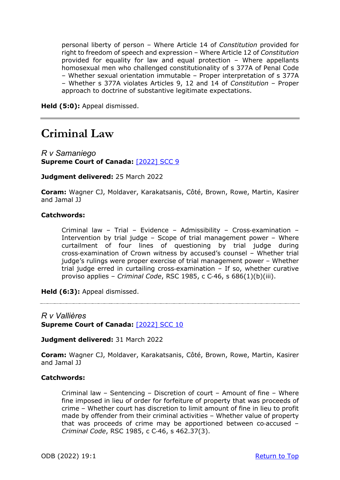personal liberty of person – Where Article 14 of *Constitution* provided for right to freedom of speech and expression – Where Article 12 of *Constitution* provided for equality for law and equal protection – Where appellants homosexual men who challenged constitutionality of s 377A of Penal Code – Whether sexual orientation immutable – Proper interpretation of s 377A – Whether s 377A violates Articles 9, 12 and 14 of *Constitution* – Proper approach to doctrine of substantive legitimate expectations.

**Held (5:0):** Appeal dismissed.

### **Criminal Law**

*R v Samaniego* **Supreme Court of Canada:** [\[2022\] SCC 9](https://decisions.scc-csc.ca/scc-csc/scc-csc/en/item/19275/index.do)

**Judgment delivered:** 25 March 2022

**Coram:** Wagner CJ, Moldaver, Karakatsanis, Côté, Brown, Rowe, Martin, Kasirer and Jamal JJ

#### **Catchwords:**

Criminal law - Trial - Evidence - Admissibility - Cross-examination -Intervention by trial judge – Scope of trial management power – Where curtailment of four lines of questioning by trial judge during cross‑examination of Crown witness by accused's counsel – Whether trial judge's rulings were proper exercise of trial management power – Whether trial judge erred in curtailing cross‑examination – If so, whether curative proviso applies – *Criminal Code*, RSC 1985, c C‑46, s 686(1)(b)(iii).

**Held (6:3):** Appeal dismissed.

*R v Vallières* **Supreme Court of Canada:** [\[2022\] SCC 10](https://decisions.scc-csc.ca/scc-csc/scc-csc/en/item/19276/index.do)

**Judgment delivered:** 31 March 2022

**Coram:** Wagner CJ, Moldaver, Karakatsanis, Côté, Brown, Rowe, Martin, Kasirer and Jamal JJ

#### **Catchwords:**

Criminal law – Sentencing – Discretion of court – Amount of fine – Where fine imposed in lieu of order for forfeiture of property that was proceeds of crime – Whether court has discretion to limit amount of fine in lieu to profit made by offender from their criminal activities – Whether value of property that was proceeds of crime may be apportioned between co‑accused – *Criminal Code*, RSC 1985, c C‑46, s 462.37(3).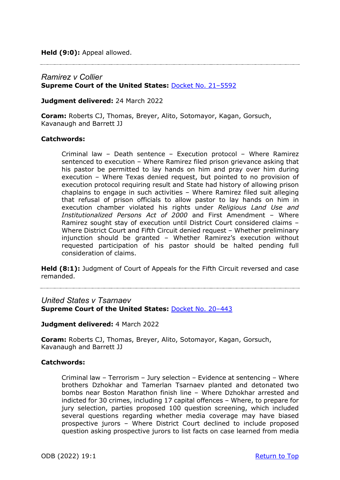**Held (9:0):** Appeal allowed.

#### *Ramirez v Collier* **Supreme Court of the United States:** [Docket No. 21–5592](https://www.supremecourt.gov/opinions/21pdf/21-5592_feah.pdf)

**Judgment delivered:** 24 March 2022

**Coram:** Roberts CJ, Thomas, Breyer, Alito, Sotomayor, Kagan, Gorsuch, Kavanaugh and Barrett JJ

#### **Catchwords:**

Criminal law – Death sentence – Execution protocol – Where Ramirez sentenced to execution – Where Ramirez filed prison grievance asking that his pastor be permitted to lay hands on him and pray over him during execution – Where Texas denied request, but pointed to no provision of execution protocol requiring result and State had history of allowing prison chaplains to engage in such activities – Where Ramirez filed suit alleging that refusal of prison officials to allow pastor to lay hands on him in execution chamber violated his rights under *Religious Land Use and Institutionalized Persons Act of 2000* and First Amendment – Where Ramirez sought stay of execution until District Court considered claims – Where District Court and Fifth Circuit denied request – Whether preliminary injunction should be granted – Whether Ramirez's execution without requested participation of his pastor should be halted pending full consideration of claims.

**Held (8:1):** Judgment of Court of Appeals for the Fifth Circuit reversed and case remanded.

### *United States v Tsarnaev*

**Supreme Court of the United States:** [Docket No. 20–443](https://www.supremecourt.gov/opinions/21pdf/20-443_new_2d8f.pdf)

**Judgment delivered:** 4 March 2022

**Coram:** Roberts CJ, Thomas, Breyer, Alito, Sotomayor, Kagan, Gorsuch, Kavanaugh and Barrett JJ

#### **Catchwords:**

Criminal law – Terrorism – Jury selection – Evidence at sentencing – Where brothers Dzhokhar and Tamerlan Tsarnaev planted and detonated two bombs near Boston Marathon finish line – Where Dzhokhar arrested and indicted for 30 crimes, including 17 capital offences – Where, to prepare for jury selection, parties proposed 100 question screening, which included several questions regarding whether media coverage may have biased prospective jurors – Where District Court declined to include proposed question asking prospective jurors to list facts on case learned from media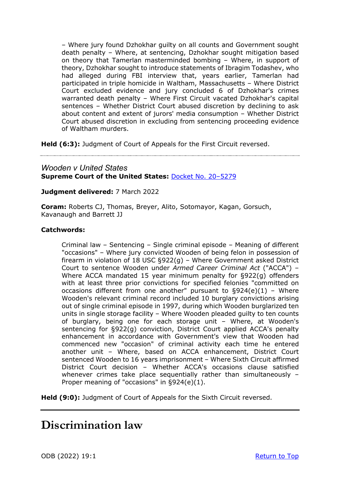– Where jury found Dzhokhar guilty on all counts and Government sought death penalty – Where, at sentencing, Dzhokhar sought mitigation based on theory that Tamerlan masterminded bombing – Where, in support of theory, Dzhokhar sought to introduce statements of Ibragim Todashev, who had alleged during FBI interview that, years earlier, Tamerlan had participated in triple homicide in Waltham, Massachusetts – Where District Court excluded evidence and jury concluded 6 of Dzhokhar's crimes warranted death penalty – Where First Circuit vacated Dzhokhar's capital sentences – Whether District Court abused discretion by declining to ask about content and extent of jurors' media consumption – Whether District Court abused discretion in excluding from sentencing proceeding evidence of Waltham murders.

**Held (6:3):** Judgment of Court of Appeals for the First Circuit reversed.

### *Wooden v United States* **Supreme Court of the United States:** [Docket No. 20–5279](https://www.supremecourt.gov/opinions/21pdf/20-5279_new_h315.pdf)

#### **Judgment delivered:** 7 March 2022

**Coram:** Roberts CJ, Thomas, Breyer, Alito, Sotomayor, Kagan, Gorsuch, Kavanaugh and Barrett JJ

#### **Catchwords:**

Criminal law – Sentencing – Single criminal episode – Meaning of different "occasions" – Where jury convicted Wooden of being felon in possession of firearm in violation of 18 USC §922(g) – Where Government asked District Court to sentence Wooden under *Armed Career Criminal Act* ("ACCA") – Where ACCA mandated 15 year minimum penalty for §922(g) offenders with at least three prior convictions for specified felonies "committed on occasions different from one another" pursuant to  $\S 924(e)(1)$  - Where Wooden's relevant criminal record included 10 burglary convictions arising out of single criminal episode in 1997, during which Wooden burglarized ten units in single storage facility – Where Wooden pleaded guilty to ten counts of burglary, being one for each storage unit – Where, at Wooden's sentencing for §922(g) conviction, District Court applied ACCA's penalty enhancement in accordance with Government's view that Wooden had commenced new "occasion" of criminal activity each time he entered another unit – Where, based on ACCA enhancement, District Court sentenced Wooden to 16 years imprisonment – Where Sixth Circuit affirmed District Court decision – Whether ACCA's occasions clause satisfied whenever crimes take place sequentially rather than simultaneously – Proper meaning of "occasions" in §924(e)(1).

**Held (9:0):** Judgment of Court of Appeals for the Sixth Circuit reversed.

## **Discrimination law**

ODB (2022) 19:1 [Return to Top](#page-0-0)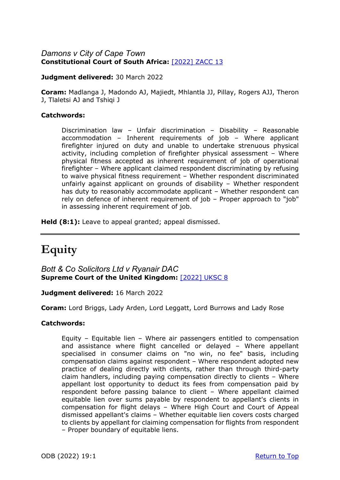### *Damons v City of Cape Town* **Constitutional Court of South Africa:** [\[2022\] ZACC 13](https://www.saflii.org/za/cases/ZACC/2022/13.html)

#### **Judgment delivered:** 30 March 2022

**Coram:** Madlanga J, Madondo AJ, Majiedt, Mhlantla JJ, Pillay, Rogers AJJ, Theron J, Tlaletsi AJ and Tshiqi J

#### **Catchwords:**

Discrimination law – Unfair discrimination – Disability – Reasonable accommodation – Inherent requirements of job – Where applicant firefighter injured on duty and unable to undertake strenuous physical activity, including completion of firefighter physical assessment – Where physical fitness accepted as inherent requirement of job of operational firefighter – Where applicant claimed respondent discriminating by refusing to waive physical fitness requirement – Whether respondent discriminated unfairly against applicant on grounds of disability – Whether respondent has duty to reasonably accommodate applicant – Whether respondent can rely on defence of inherent requirement of job – Proper approach to "job" in assessing inherent requirement of job.

**Held (8:1):** Leave to appeal granted; appeal dismissed.

# **Equity**

*Bott & Co Solicitors Ltd v Ryanair DAC* **Supreme Court of the United Kingdom:** [\[2022\] UKSC 8](https://www.supremecourt.uk/cases/docs/uksc-2019-0054-judgment.pdf)

**Judgment delivered:** 16 March 2022

**Coram:** Lord Briggs, Lady Arden, Lord Leggatt, Lord Burrows and Lady Rose

#### **Catchwords:**

Equity – Equitable lien – Where air passengers entitled to compensation and assistance where flight cancelled or delayed – Where appellant specialised in consumer claims on "no win, no fee" basis, including compensation claims against respondent – Where respondent adopted new practice of dealing directly with clients, rather than through third-party claim handlers, including paying compensation directly to clients – Where appellant lost opportunity to deduct its fees from compensation paid by respondent before passing balance to client – Where appellant claimed equitable lien over sums payable by respondent to appellant's clients in compensation for flight delays – Where High Court and Court of Appeal dismissed appellant's claims – Whether equitable lien covers costs charged to clients by appellant for claiming compensation for flights from respondent – Proper boundary of equitable liens.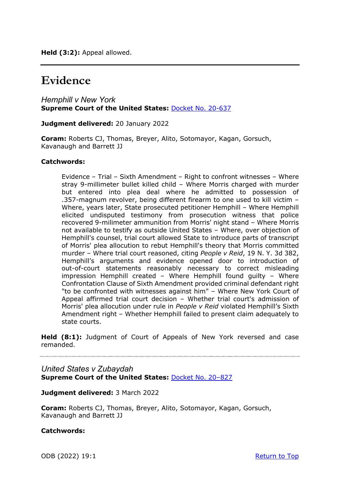**Held (3:2):** Appeal allowed.

## **Evidence**

*Hemphill v New York*  **Supreme Court of the United States:** [Docket No. 20-637](https://www.supremecourt.gov/opinions/21pdf/20-637_new_6khn.pdf)

**Judgment delivered:** 20 January 2022

**Coram:** Roberts CJ, Thomas, Breyer, Alito, Sotomayor, Kagan, Gorsuch, Kavanaugh and Barrett JJ

#### **Catchwords:**

Evidence – Trial – Sixth Amendment – Right to confront witnesses – Where stray 9-millimeter bullet killed child – Where Morris charged with murder but entered into plea deal where he admitted to possession of .357-magnum revolver, being different firearm to one used to kill victim – Where, years later, State prosecuted petitioner Hemphill – Where Hemphill elicited undisputed testimony from prosecution witness that police recovered 9-milimeter ammunition from Morris' night stand – Where Morris not available to testify as outside United States – Where, over objection of Hemphill's counsel, trial court allowed State to introduce parts of transcript of Morris' plea allocution to rebut Hemphill's theory that Morris committed murder – Where trial court reasoned, citing *People v Reid*, 19 N. Y. 3d 382, Hemphill's arguments and evidence opened door to introduction of out-of-court statements reasonably necessary to correct misleading impression Hemphill created – Where Hemphill found guilty – Where Confrontation Clause of Sixth Amendment provided criminal defendant right "to be confronted with witnesses against him" – Where New York Court of Appeal affirmed trial court decision – Whether trial court's admission of Morris' plea allocution under rule in *People v Reid* violated Hemphill's Sixth Amendment right – Whether Hemphill failed to present claim adequately to state courts.

**Held (8:1):** Judgment of Court of Appeals of New York reversed and case remanded.

#### *United States v Zubaydah*  **Supreme Court of the United States:** [Docket No. 20–827](https://www.supremecourt.gov/opinions/21pdf/20-827_i426.pdf)

#### **Judgment delivered:** 3 March 2022

**Coram:** Roberts CJ, Thomas, Breyer, Alito, Sotomayor, Kagan, Gorsuch, Kavanaugh and Barrett JJ

#### **Catchwords:**

ODB (2022) 19:1 [Return to Top](#page-0-0)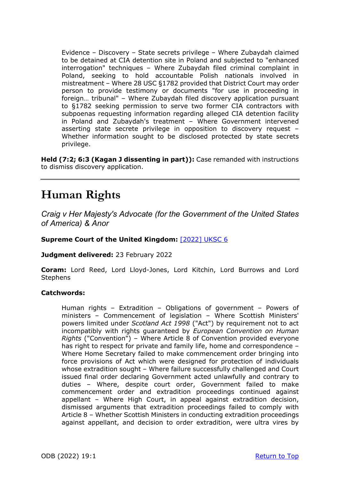Evidence – Discovery – State secrets privilege – Where Zubaydah claimed to be detained at CIA detention site in Poland and subjected to "enhanced interrogation" techniques – Where Zubaydah filed criminal complaint in Poland, seeking to hold accountable Polish nationals involved in mistreatment – Where 28 USC §1782 provided that District Court may order person to provide testimony or documents "for use in proceeding in foreign… tribunal" – Where Zubaydah filed discovery application pursuant to §1782 seeking permission to serve two former CIA contractors with subpoenas requesting information regarding alleged CIA detention facility in Poland and Zubaydah's treatment – Where Government intervened asserting state secrete privilege in opposition to discovery request – Whether information sought to be disclosed protected by state secrets privilege.

**Held (7:2; 6:3 (Kagan J dissenting in part)):** Case remanded with instructions to dismiss discovery application.

# **Human Rights**

*Craig v Her Majesty's Advocate (for the Government of the United States of America) & Anor*

#### **Supreme Court of the United Kingdom:** [\[2022\] UKSC 6](https://www.supremecourt.uk/cases/docs/uksc-2020-0185-judgment.pdf)

**Judgment delivered:** 23 February 2022

**Coram:** Lord Reed, Lord Lloyd-Jones, Lord Kitchin, Lord Burrows and Lord **Stephens** 

#### **Catchwords:**

Human rights – Extradition – Obligations of government – Powers of ministers – Commencement of legislation – Where Scottish Ministers' powers limited under *Scotland Act 1998* ("Act") by requirement not to act incompatibly with rights guaranteed by *European Convention on Human Rights* ("Convention") – Where Article 8 of Convention provided everyone has right to respect for private and family life, home and correspondence -Where Home Secretary failed to make commencement order bringing into force provisions of Act which were designed for protection of individuals whose extradition sought – Where failure successfully challenged and Court issued final order declaring Government acted unlawfully and contrary to duties – Where, despite court order, Government failed to make commencement order and extradition proceedings continued against appellant – Where High Court, in appeal against extradition decision, dismissed arguments that extradition proceedings failed to comply with Article 8 – Whether Scottish Ministers in conducting extradition proceedings against appellant, and decision to order extradition, were ultra vires by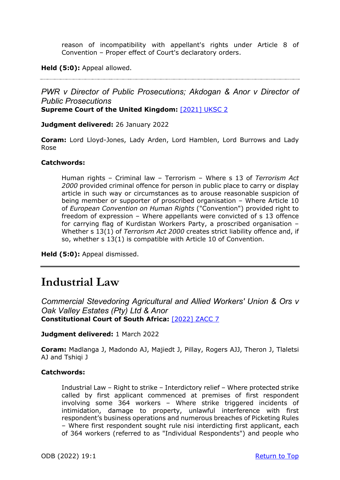reason of incompatibility with appellant's rights under Article 8 of Convention – Proper effect of Court's declaratory orders.

#### **Held (5:0):** Appeal allowed.

*PWR v Director of Public Prosecutions; Akdogan & Anor v Director of Public Prosecutions* **Supreme Court of the United Kingdom:** [\[2021\] UKSC 2](https://www.supremecourt.uk/cases/docs/uksc-2020-0076-judgment.pdf)

**Judgment delivered:** 26 January 2022

**Coram:** Lord Lloyd-Jones, Lady Arden, Lord Hamblen, Lord Burrows and Lady Rose

#### **Catchwords:**

Human rights – Criminal law – Terrorism – Where s 13 of *Terrorism Act 2000* provided criminal offence for person in public place to carry or display article in such way or circumstances as to arouse reasonable suspicion of being member or supporter of proscribed organisation – Where Article 10 of *European Convention on Human Rights* ("Convention") provided right to freedom of expression – Where appellants were convicted of s 13 offence for carrying flag of Kurdistan Workers Party, a proscribed organisation – Whether s 13(1) of *Terrorism Act 2000* creates strict liability offence and, if so, whether s 13(1) is compatible with Article 10 of Convention.

**Held (5:0):** Appeal dismissed.

## **Industrial Law**

*Commercial Stevedoring Agricultural and Allied Workers' Union & Ors v Oak Valley Estates (Pty) Ltd & Anor* **Constitutional Court of South Africa:** [\[2022\] ZACC 7](https://www.saflii.org/za/cases/ZACC/2022/7.html)

**Judgment delivered:** 1 March 2022

**Coram:** Madlanga J, Madondo AJ, Majiedt J, Pillay, Rogers AJJ, Theron J, Tlaletsi AJ and Tshiqi J

#### **Catchwords:**

Industrial Law – Right to strike – Interdictory relief – Where protected strike called by first applicant commenced at premises of first respondent involving some 364 workers – Where strike triggered incidents of intimidation, damage to property, unlawful interference with first respondent's business operations and numerous breaches of Picketing Rules – Where first respondent sought rule nisi interdicting first applicant, each of 364 workers (referred to as "Individual Respondents") and people who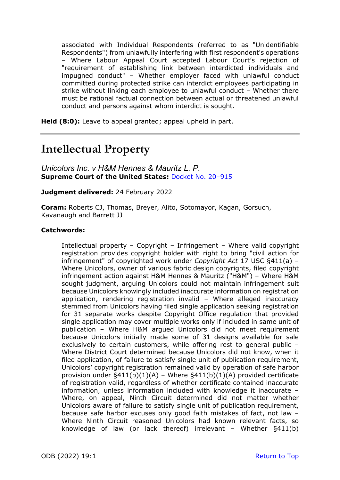associated with Individual Respondents (referred to as "Unidentifiable Respondents") from unlawfully interfering with first respondent's operations – Where Labour Appeal Court accepted Labour Court's rejection of "requirement of establishing link between interdicted individuals and impugned conduct" – Whether employer faced with unlawful conduct committed during protected strike can interdict employees participating in strike without linking each employee to unlawful conduct – Whether there must be rational factual connection between actual or threatened unlawful conduct and persons against whom interdict is sought.

**Held (8:0):** Leave to appeal granted; appeal upheld in part.

## **Intellectual Property**

*Unicolors Inc. v H&M Hennes & Mauritz L. P.* **Supreme Court of the United States:** [Docket No. 20–915](https://www.supremecourt.gov/opinions/21pdf/20-915_pol1.pdf)

**Judgment delivered:** 24 February 2022

**Coram:** Roberts CJ, Thomas, Breyer, Alito, Sotomayor, Kagan, Gorsuch, Kavanaugh and Barrett JJ

#### **Catchwords:**

Intellectual property – Copyright – Infringement – Where valid copyright registration provides copyright holder with right to bring "civil action for infringement" of copyrighted work under *Copyright Act* 17 USC §411(a) – Where Unicolors, owner of various fabric design copyrights, filed copyright infringement action against H&M Hennes & Mauritz ("H&M") – Where H&M sought judgment, arguing Unicolors could not maintain infringement suit because Unicolors knowingly included inaccurate information on registration application, rendering registration invalid – Where alleged inaccuracy stemmed from Unicolors having filed single application seeking registration for 31 separate works despite Copyright Office regulation that provided single application may cover multiple works only if included in same unit of publication – Where H&M argued Unicolors did not meet requirement because Unicolors initially made some of 31 designs available for sale exclusively to certain customers, while offering rest to general public – Where District Court determined because Unicolors did not know, when it filed application, of failure to satisfy single unit of publication requirement, Unicolors' copyright registration remained valid by operation of safe harbor provision under  $\S411(b)(1)(A)$  – Where  $\S411(b)(1)(A)$  provided certificate of registration valid, regardless of whether certificate contained inaccurate information, unless information included with knowledge it inaccurate – Where, on appeal, Ninth Circuit determined did not matter whether Unicolors aware of failure to satisfy single unit of publication requirement, because safe harbor excuses only good faith mistakes of fact, not law – Where Ninth Circuit reasoned Unicolors had known relevant facts, so knowledge of law (or lack thereof) irrelevant – Whether §411(b)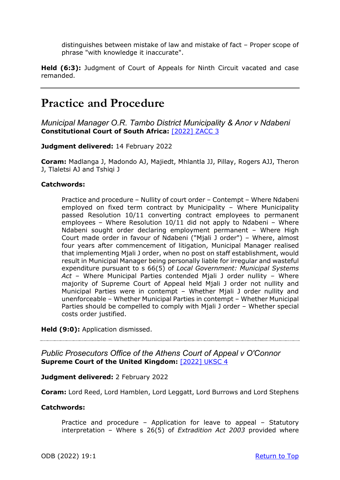distinguishes between mistake of law and mistake of fact – Proper scope of phrase "with knowledge it inaccurate".

**Held (6:3):** Judgment of Court of Appeals for Ninth Circuit vacated and case remanded.

## **Practice and Procedure**

*Municipal Manager O.R. Tambo District Municipality & Anor v Ndabeni* **Constitutional Court of South Africa:** [\[2022\] ZACC 3](https://www.saflii.org/za/cases/ZACC/2022/3.html)

**Judgment delivered:** 14 February 2022

**Coram:** Madlanga J, Madondo AJ, Majiedt, Mhlantla JJ, Pillay, Rogers AJJ, Theron J, Tlaletsi AJ and Tshiqi J

#### **Catchwords:**

Practice and procedure – Nullity of court order – Contempt – Where Ndabeni employed on fixed term contract by Municipality – Where Municipality passed Resolution 10/11 converting contract employees to permanent employees – Where Resolution 10/11 did not apply to Ndabeni – Where Ndabeni sought order declaring employment permanent – Where High Court made order in favour of Ndabeni ("Mjali J order") – Where, almost four years after commencement of litigation, Municipal Manager realised that implementing Mjali J order, when no post on staff establishment, would result in Municipal Manager being personally liable for irregular and wasteful expenditure pursuant to s 66(5) of *Local Government: Municipal Systems Act* – Where Municipal Parties contended Mjali J order nullity – Where majority of Supreme Court of Appeal held Mjali J order not nullity and Municipal Parties were in contempt – Whether Mjali J order nullity and unenforceable – Whether Municipal Parties in contempt – Whether Municipal Parties should be compelled to comply with Mjali J order – Whether special costs order justified.

**Held (9:0):** Application dismissed.

*Public Prosecutors Office of the Athens Court of Appeal v O'Connor*  **Supreme Court of the United Kingdom:** [\[2022\] UKSC 4](https://www.supremecourt.uk/cases/docs/uksc-2018-0129-judgment.pdf)

**Judgment delivered:** 2 February 2022

**Coram:** Lord Reed, Lord Hamblen, Lord Leggatt, Lord Burrows and Lord Stephens

#### **Catchwords:**

Practice and procedure – Application for leave to appeal – Statutory interpretation – Where s 26(5) of *Extradition Act 2003* provided where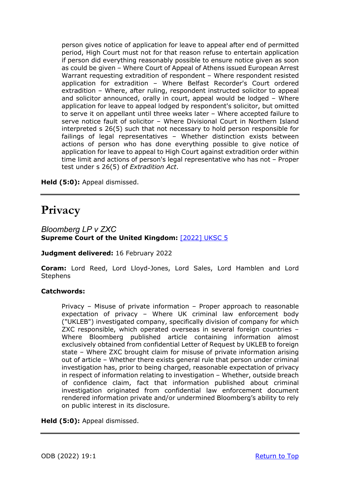person gives notice of application for leave to appeal after end of permitted period, High Court must not for that reason refuse to entertain application if person did everything reasonably possible to ensure notice given as soon as could be given – Where Court of Appeal of Athens issued European Arrest Warrant requesting extradition of respondent – Where respondent resisted application for extradition – Where Belfast Recorder's Court ordered extradition – Where, after ruling, respondent instructed solicitor to appeal and solicitor announced, orally in court, appeal would be lodged – Where application for leave to appeal lodged by respondent's solicitor, but omitted to serve it on appellant until three weeks later – Where accepted failure to serve notice fault of solicitor – Where Divisional Court in Northern Island interpreted s 26(5) such that not necessary to hold person responsible for failings of legal representatives – Whether distinction exists between actions of person who has done everything possible to give notice of application for leave to appeal to High Court against extradition order within time limit and actions of person's legal representative who has not – Proper test under s 26(5) of *Extradition Act*.

**Held (5:0):** Appeal dismissed.

## **Privacy**

*Bloomberg LP v ZXC* **Supreme Court of the United Kingdom:** [\[2022\] UKSC 5](https://www.supremecourt.uk/cases/docs/uksc-2020-0122-judgment.pdf)

**Judgment delivered:** 16 February 2022

**Coram:** Lord Reed, Lord Lloyd-Jones, Lord Sales, Lord Hamblen and Lord **Stephens** 

#### **Catchwords:**

Privacy – Misuse of private information – Proper approach to reasonable expectation of privacy – Where UK criminal law enforcement body ("UKLEB") investigated company, specifically division of company for which ZXC responsible, which operated overseas in several foreign countries – Where Bloomberg published article containing information almost exclusively obtained from confidential Letter of Request by UKLEB to foreign state – Where ZXC brought claim for misuse of private information arising out of article – Whether there exists general rule that person under criminal investigation has, prior to being charged, reasonable expectation of privacy in respect of information relating to investigation – Whether, outside breach of confidence claim, fact that information published about criminal investigation originated from confidential law enforcement document rendered information private and/or undermined Bloomberg's ability to rely on public interest in its disclosure.

**Held (5:0):** Appeal dismissed.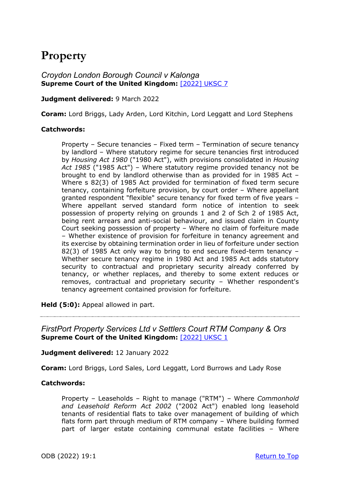# **Property**

### *Croydon London Borough Council v Kalonga*  **Supreme Court of the United Kingdom:** [\[2022\] UKSC 7](https://www.supremecourt.uk/cases/docs/uksc-2021-0044-judgment.pdf)

#### **Judgment delivered:** 9 March 2022

**Coram:** Lord Briggs, Lady Arden, Lord Kitchin, Lord Leggatt and Lord Stephens

#### **Catchwords:**

Property – Secure tenancies – Fixed term – Termination of secure tenancy by landlord – Where statutory regime for secure tenancies first introduced by *Housing Act 1980* ("1980 Act"), with provisions consolidated in *Housing Act 1985* ("1985 Act") – Where statutory regime provided tenancy not be brought to end by landlord otherwise than as provided for in 1985 Act – Where s 82(3) of 1985 Act provided for termination of fixed term secure tenancy, containing forfeiture provision, by court order – Where appellant granted respondent "flexible" secure tenancy for fixed term of five years – Where appellant served standard form notice of intention to seek possession of property relying on grounds 1 and 2 of Sch 2 of 1985 Act, being rent arrears and anti-social behaviour, and issued claim in County Court seeking possession of property – Where no claim of forfeiture made – Whether existence of provision for forfeiture in tenancy agreement and its exercise by obtaining termination order in lieu of forfeiture under section 82(3) of 1985 Act only way to bring to end secure fixed-term tenancy – Whether secure tenancy regime in 1980 Act and 1985 Act adds statutory security to contractual and proprietary security already conferred by tenancy, or whether replaces, and thereby to some extent reduces or removes, contractual and proprietary security – Whether respondent's tenancy agreement contained provision for forfeiture.

**Held (5:0):** Appeal allowed in part.

*FirstPort Property Services Ltd v Settlers Court RTM Company & Ors* **Supreme Court of the United Kingdom:** [\[2022\] UKSC 1](https://www.supremecourt.uk/cases/docs/uksc-2020-0066-judgment.pdf)

#### **Judgment delivered:** 12 January 2022

**Coram:** Lord Briggs, Lord Sales, Lord Leggatt, Lord Burrows and Lady Rose

#### **Catchwords:**

Property – Leaseholds – Right to manage ("RTM") – Where *Commonhold and Leasehold Reform Act 2002* ("2002 Act") enabled long leasehold tenants of residential flats to take over management of building of which flats form part through medium of RTM company – Where building formed part of larger estate containing communal estate facilities – Where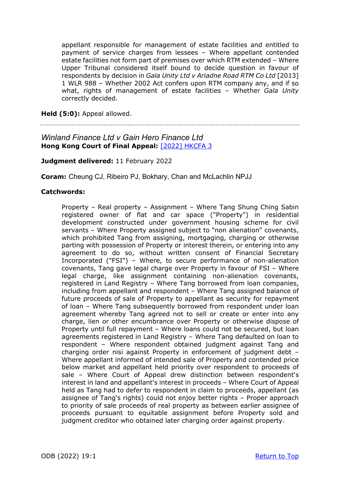appellant responsible for management of estate facilities and entitled to payment of service charges from lessees – Where appellant contended estate facilities not form part of premises over which RTM extended – Where Upper Tribunal considered itself bound to decide question in favour of respondents by decision in *Gala Unity Ltd v Ariadne Road RTM Co Ltd* [2013] 1 WLR 988 – Whether 2002 Act confers upon RTM company any, and if so what, rights of management of estate facilities – Whether *Gala Unity*  correctly decided.

**Held (5:0):** Appeal allowed.

### *Winland Finance Ltd v Gain Hero Finance Ltd*  **Hong Kong Court of Final Appeal:** [\[2022\] HKCFA 3](https://www.hklii.hk/eng/hk/cases/hkcfa/2022/3.html)

#### **Judgment delivered:** 11 February 2022

**Coram:** Cheung CJ, Ribeiro PJ, Bokhary, Chan and McLachlin NPJJ

#### **Catchwords:**

Property – Real property – Assignment – Where Tang Shung Ching Sabin registered owner of flat and car space ("Property") in residential development constructed under government housing scheme for civil servants – Where Property assigned subject to "non alienation" covenants, which prohibited Tang from assigning, mortgaging, charging or otherwise parting with possession of Property or interest therein, or entering into any agreement to do so, without written consent of Financial Secretary Incorporated ("FSI") – Where, to secure performance of non-alienation covenants, Tang gave legal charge over Property in favour of FSI – Where legal charge, like assignment containing non-alienation covenants, registered in Land Registry – Where Tang borrowed from loan companies, including from appellant and respondent – Where Tang assigned balance of future proceeds of sale of Property to appellant as security for repayment of loan – Where Tang subsequently borrowed from respondent under loan agreement whereby Tang agreed not to sell or create or enter into any charge, lien or other encumbrance over Property or otherwise dispose of Property until full repayment – Where loans could not be secured, but loan agreements registered in Land Registry – Where Tang defaulted on loan to respondent – Where respondent obtained judgment against Tang and charging order nisi against Property in enforcement of judgment debt – Where appellant informed of intended sale of Property and contended price below market and appellant held priority over respondent to proceeds of sale – Where Court of Appeal drew distinction between respondent's interest in land and appellant's interest in proceeds – Where Court of Appeal held as Tang had to defer to respondent in claim to proceeds, appellant (as assignee of Tang's rights) could not enjoy better rights – Proper approach to priority of sale proceeds of real property as between earlier assignee of proceeds pursuant to equitable assignment before Property sold and judgment creditor who obtained later charging order against property.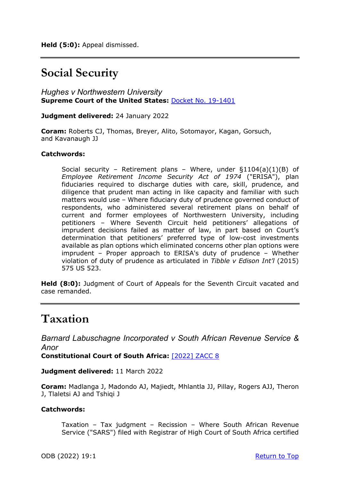## **Social Security**

*Hughes v Northwestern University* **Supreme Court of the United States:** [Docket No. 19-1401](https://www.supremecourt.gov/opinions/21pdf/19-1401_m6io.pdf)

**Judgment delivered:** 24 January 2022

**Coram:** Roberts CJ, Thomas, Breyer, Alito, Sotomayor, Kagan, Gorsuch, and Kavanaugh JJ

#### **Catchwords:**

Social security – Retirement plans – Where, under  $\S1104(a)(1)(B)$  of *Employee Retirement Income Security Act of 1974* ("ERISA"), plan fiduciaries required to discharge duties with care, skill, prudence, and diligence that prudent man acting in like capacity and familiar with such matters would use – Where fiduciary duty of prudence governed conduct of respondents, who administered several retirement plans on behalf of current and former employees of Northwestern University, including petitioners – Where Seventh Circuit held petitioners' allegations of imprudent decisions failed as matter of law, in part based on Court's determination that petitioners' preferred type of low-cost investments available as plan options which eliminated concerns other plan options were imprudent – Proper approach to ERISA's duty of prudence – Whether violation of duty of prudence as articulated in *Tibble v Edison Int'l* (2015) 575 US 523.

**Held (8:0):** Judgment of Court of Appeals for the Seventh Circuit vacated and case remanded.

## **Taxation**

*Barnard Labuschagne Incorporated v South African Revenue Service & Anor*

**Constitutional Court of South Africa:** [\[2022\] ZACC 8](https://www.saflii.org/za/cases/ZACC/2022/8.html)

**Judgment delivered:** 11 March 2022

**Coram:** Madlanga J, Madondo AJ, Majiedt, Mhlantla JJ, Pillay, Rogers AJJ, Theron J, Tlaletsi AJ and Tshiqi J

#### **Catchwords:**

Taxation – Tax judgment – Recission – Where South African Revenue Service ("SARS") filed with Registrar of High Court of South Africa certified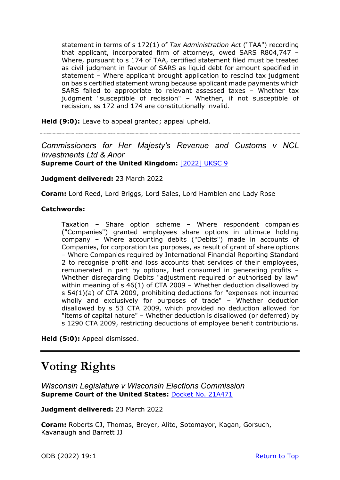statement in terms of s 172(1) of *Tax Administration Act* ("TAA") recording that applicant, incorporated firm of attorneys, owed SARS R804,747 – Where, pursuant to s 174 of TAA, certified statement filed must be treated as civil judgment in favour of SARS as liquid debt for amount specified in statement – Where applicant brought application to rescind tax judgment on basis certified statement wrong because applicant made payments which SARS failed to appropriate to relevant assessed taxes – Whether tax judgment "susceptible of recission" – Whether, if not susceptible of recission, ss 172 and 174 are constitutionally invalid.

**Held (9:0):** Leave to appeal granted; appeal upheld.

### *Commissioners for Her Majesty's Revenue and Customs v NCL Investments Ltd & Anor*  **Supreme Court of the United Kingdom:** [\[2022\] UKSC 9](https://www.supremecourt.uk/cases/docs/uksc-2020-0125-judgment.pdf)

**Judgment delivered:** 23 March 2022

**Coram:** Lord Reed, Lord Briggs, Lord Sales, Lord Hamblen and Lady Rose

#### **Catchwords:**

Taxation – Share option scheme – Where respondent companies ("Companies") granted employees share options in ultimate holding company – Where accounting debits ("Debits") made in accounts of Companies, for corporation tax purposes, as result of grant of share options – Where Companies required by International Financial Reporting Standard 2 to recognise profit and loss accounts that services of their employees, remunerated in part by options, had consumed in generating profits – Whether disregarding Debits "adjustment required or authorised by law" within meaning of s 46(1) of CTA 2009 – Whether deduction disallowed by s 54(1)(a) of CTA 2009, prohibiting deductions for "expenses not incurred wholly and exclusively for purposes of trade" – Whether deduction disallowed by s 53 CTA 2009, which provided no deduction allowed for "items of capital nature" – Whether deduction is disallowed (or deferred) by s 1290 CTA 2009, restricting deductions of employee benefit contributions.

**Held (5:0):** Appeal dismissed.

# **Voting Rights**

*Wisconsin Legislature v Wisconsin Elections Commission* **Supreme Court of the United States:** [Docket No. 21A471](https://www.supremecourt.gov/opinions/21pdf/21a471_097c.pdf)

**Judgment delivered:** 23 March 2022

**Coram:** Roberts CJ, Thomas, Breyer, Alito, Sotomayor, Kagan, Gorsuch, Kavanaugh and Barrett JJ